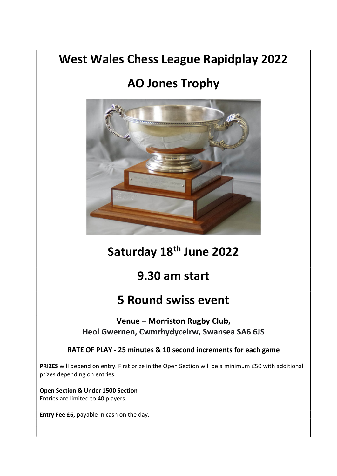## West Wales Chess League Rapidplay 2022

# AO Jones Trophy



# Saturday 18<sup>th</sup> June 2022

### 9.30 am start

### 5 Round swiss event

Venue – Morriston Rugby Club, Heol Gwernen, Cwmrhydyceirw, Swansea SA6 6JS

### RATE OF PLAY - 25 minutes & 10 second increments for each game

PRIZES will depend on entry. First prize in the Open Section will be a minimum £50 with additional prizes depending on entries.

Open Section & Under 1500 Section Entries are limited to 40 players.

Entry Fee £6, payable in cash on the day.